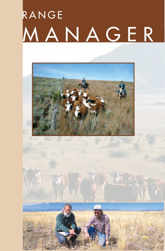# RANGE MANAGER